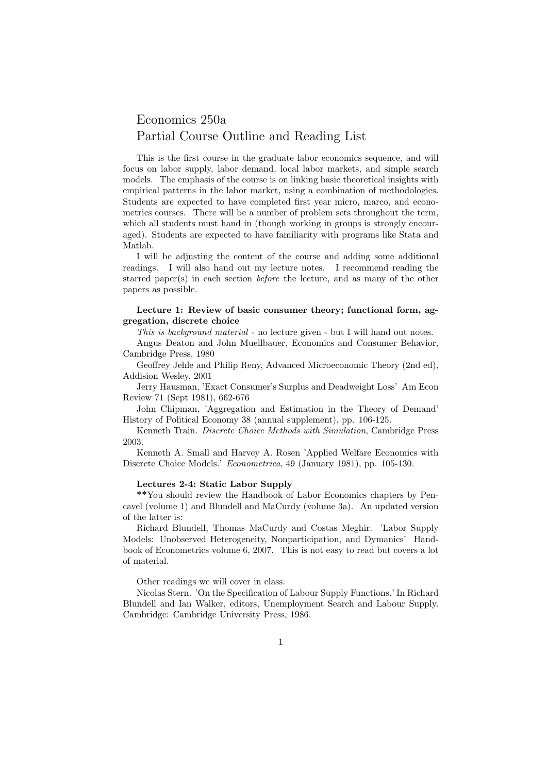# Economics 250a Partial Course Outline and Reading List

This is the first course in the graduate labor economics sequence, and will focus on labor supply, labor demand, local labor markets, and simple search models. The emphasis of the course is on linking basic theoretical insights with empirical patterns in the labor market, using a combination of methodologies. Students are expected to have completed first year micro, marco, and econometrics courses. There will be a number of problem sets throughout the term, which all students must hand in (though working in groups is strongly encouraged). Students are expected to have familiarity with programs like Stata and Matlab.

I will be adjusting the content of the course and adding some additional readings. I will also hand out my lecture notes. I recommend reading the starred paper(s) in each section before the lecture, and as many of the other papers as possible.

## Lecture 1: Review of basic consumer theory; functional form, aggregation, discrete choice

This is background material - no lecture given - but I will hand out notes.

Angus Deaton and John Muellbauer, Economics and Consumer Behavior, Cambridge Press, 1980

Geoffrey Jehle and Philip Reny, Advanced Microeconomic Theory (2nd ed), Addision Wesley, 2001

Jerry Hausman, 'Exact Consumer's Surplus and Deadweight Loss' Am Econ Review 71 (Sept 1981), 662-676

John Chipman, 'Aggregation and Estimation in the Theory of Demand' History of Political Economy 38 (annual supplement), pp. 106-125.

Kenneth Train. Discrete Choice Methods with Simulation, Cambridge Press 2003.

Kenneth A. Small and Harvey A. Rosen 'Applied Welfare Economics with Discrete Choice Models.' Econometrica, 49 (January 1981), pp. 105-130.

#### Lectures 2-4: Static Labor Supply

\*\*You should review the Handbook of Labor Economics chapters by Pencavel (volume 1) and Blundell and MaCurdy (volume 3a). An updated version of the latter is:

Richard Blundell, Thomas MaCurdy and Costas Meghir. 'Labor Supply Models: Unobserved Heterogeneity, Nonparticipation, and Dymanics' Handbook of Econometrics volume 6, 2007. This is not easy to read but covers a lot of material.

Other readings we will cover in class:

Nicolas Stern. 'On the Specification of Labour Supply Functions.' In Richard Blundell and Ian Walker, editors, Unemployment Search and Labour Supply. Cambridge: Cambridge University Press, 1986.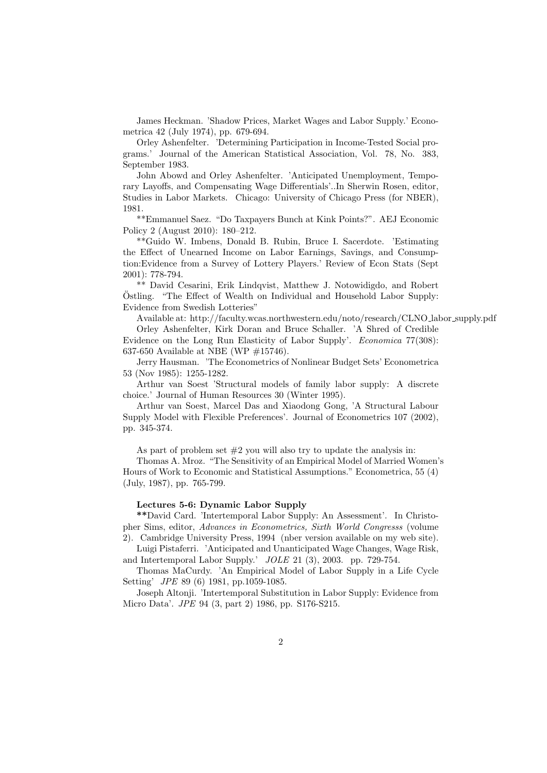James Heckman. 'Shadow Prices, Market Wages and Labor Supply.' Econometrica 42 (July 1974), pp. 679-694.

Orley Ashenfelter. 'Determining Participation in Income-Tested Social programs.' Journal of the American Statistical Association, Vol. 78, No. 383, September 1983.

John Abowd and Orley Ashenfelter. 'Anticipated Unemployment, Temporary Layoffs, and Compensating Wage Differentials'..In Sherwin Rosen, editor, Studies in Labor Markets. Chicago: University of Chicago Press (for NBER), 1981.

\*\*Emmanuel Saez. "Do Taxpayers Bunch at Kink Points?". AEJ Economic Policy 2 (August 2010): 180–212.

\*\*Guido W. Imbens, Donald B. Rubin, Bruce I. Sacerdote. 'Estimating the Effect of Unearned Income on Labor Earnings, Savings, and Consumption:Evidence from a Survey of Lottery Players.' Review of Econ Stats (Sept 2001): 778-794.

\*\* David Cesarini, Erik Lindqvist, Matthew J. Notowidigdo, and Robert Ostling. "The Effect of Wealth on Individual and Household Labor Supply: ¨ Evidence from Swedish Lotteries"

Available at: http://faculty.wcas.northwestern.edu/noto/research/CLNO labor supply.pdf Orley Ashenfelter, Kirk Doran and Bruce Schaller. 'A Shred of Credible Evidence on the Long Run Elasticity of Labor Supply'. Economica 77(308): 637-650 Available at NBE (WP  $\#15746$ ).

Jerry Hausman. 'The Econometrics of Nonlinear Budget Sets' Econometrica 53 (Nov 1985): 1255-1282.

Arthur van Soest 'Structural models of family labor supply: A discrete choice.' Journal of Human Resources 30 (Winter 1995).

Arthur van Soest, Marcel Das and Xiaodong Gong, 'A Structural Labour Supply Model with Flexible Preferences'. Journal of Econometrics 107 (2002), pp. 345-374.

As part of problem set  $#2$  you will also try to update the analysis in:

Thomas A. Mroz. "The Sensitivity of an Empirical Model of Married Women's Hours of Work to Economic and Statistical Assumptions." Econometrica, 55 (4) (July, 1987), pp. 765-799.

### Lectures 5-6: Dynamic Labor Supply

\*\*David Card. 'Intertemporal Labor Supply: An Assessment'. In Christopher Sims, editor, Advances in Econometrics, Sixth World Congresss (volume 2). Cambridge University Press, 1994 (nber version available on my web site).

Luigi Pistaferri. 'Anticipated and Unanticipated Wage Changes, Wage Risk, and Intertemporal Labor Supply.' JOLE 21 (3), 2003. pp. 729-754.

Thomas MaCurdy. 'An Empirical Model of Labor Supply in a Life Cycle Setting' JPE 89 (6) 1981, pp.1059-1085.

Joseph Altonji. 'Intertemporal Substitution in Labor Supply: Evidence from Micro Data'. JPE 94 (3, part 2) 1986, pp. S176-S215.